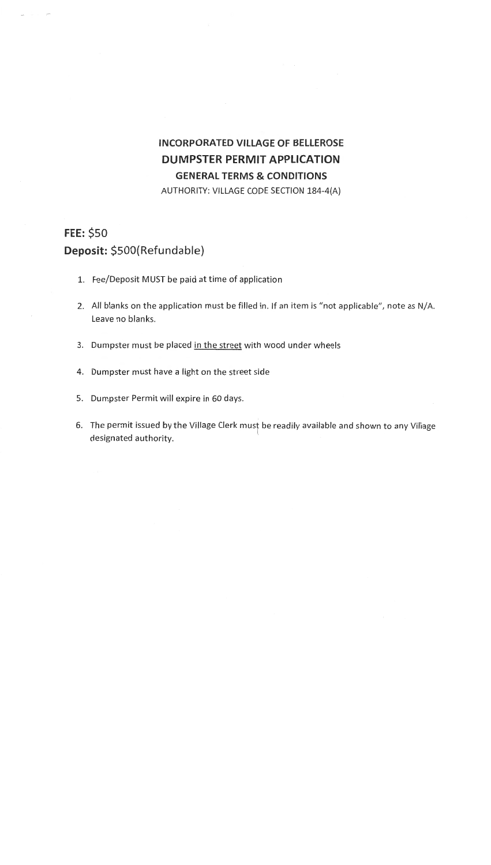## **INCORPORATED VILLAGE OF BELLEROSE DUMPSTER PERMIT APPLICATION GENERAL TERMS & CONDITIONS**  .AUTHORITY: VILLAGE CODE SECTION 184-4(A)

## **FEE:\$50 Deposit: \$SOO(Refundable)**

- 1. Fee/Deposit MUST be paid at time of application
- 2. All blanks on the application must be filled in. If an item is "not applicable", note as N/A. Leave no blanks.
- 3. Dumpster must be placed in the street with wood under wheels
- 4. Dumpster must have a light on the street side
- 5. Dumpster Permit will expire in 60 days.
- 6. The permit issued by the Village Clerk must be readily available and shown to any Village designated authority.